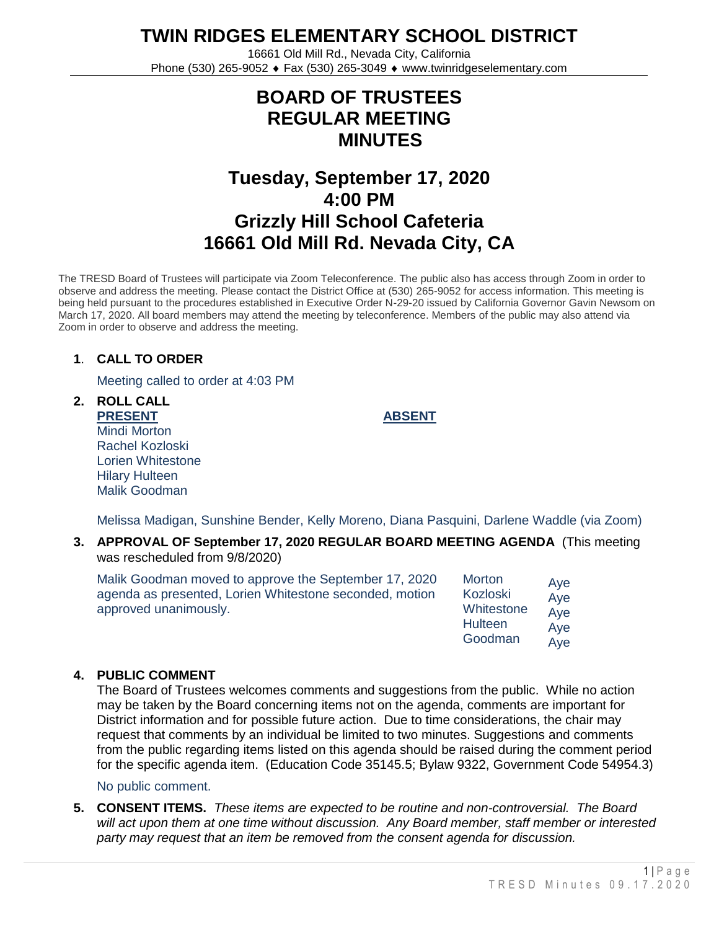**TWIN RIDGES ELEMENTARY SCHOOL DISTRICT**

16661 Old Mill Rd., Nevada City, California Phone (530) 265-9052 ♦ Fax (530) 265-3049 ♦ www.twinridgeselementary.com

# **BOARD OF TRUSTEES REGULAR MEETING MINUTES**

# **Tuesday, September 17, 2020 4:00 PM Grizzly Hill School Cafeteria 16661 Old Mill Rd. Nevada City, CA**

The TRESD Board of Trustees will participate via Zoom Teleconference. The public also has access through Zoom in order to observe and address the meeting. Please contact the District Office at (530) 265-9052 for access information. This meeting is being held pursuant to the procedures established in Executive Order N-29-20 issued by California Governor Gavin Newsom on March 17, 2020. All board members may attend the meeting by teleconference. Members of the public may also attend via Zoom in order to observe and address the meeting.

# **1**. **CALL TO ORDER**

Meeting called to order at 4:03 PM

**2. ROLL CALL PRESENT** Mindi Morton Rachel Kozloski Lorien Whitestone Hilary Hulteen Malik Goodman

**ABSENT**

Melissa Madigan, Sunshine Bender, Kelly Moreno, Diana Pasquini, Darlene Waddle (via Zoom)

**3. APPROVAL OF September 17, 2020 REGULAR BOARD MEETING AGENDA** (This meeting was rescheduled from 9/8/2020)

| Malik Goodman moved to approve the September 17, 2020<br>agenda as presented, Lorien Whitestone seconded, motion<br>approved unanimously. | <b>Morton</b><br>Kozloski<br>Whitestone<br>Hulteen | Aye<br>Aye<br>Aye<br>Aye                   |
|-------------------------------------------------------------------------------------------------------------------------------------------|----------------------------------------------------|--------------------------------------------|
|                                                                                                                                           | Goodman                                            | $\mathsf{A}\mathsf{A}\mathsf{A}\mathsf{A}$ |

# **4. PUBLIC COMMENT**

The Board of Trustees welcomes comments and suggestions from the public. While no action may be taken by the Board concerning items not on the agenda, comments are important for District information and for possible future action. Due to time considerations, the chair may request that comments by an individual be limited to two minutes. Suggestions and comments from the public regarding items listed on this agenda should be raised during the comment period for the specific agenda item. (Education Code 35145.5; Bylaw 9322, Government Code 54954.3)

No public comment.

**5. CONSENT ITEMS.** *These items are expected to be routine and non-controversial. The Board will act upon them at one time without discussion. Any Board member, staff member or interested party may request that an item be removed from the consent agenda for discussion.*

Aye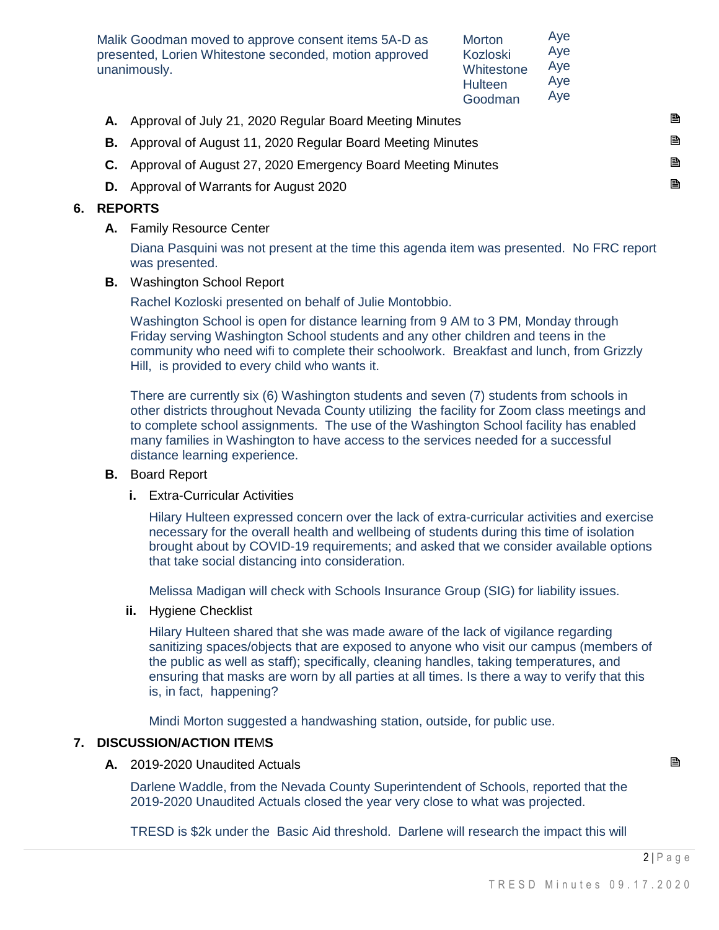Malik Goodman moved to approve consent items 5A-D as presented, Lorien Whitestone seconded, motion approved unanimously.

**Morton** Kozloski **Whitestone Hulteen** Goodman Aye Aye Aye Aye  $\overline{\Delta}$ ye

| Goodman<br><b>RVC</b>                                               |    |
|---------------------------------------------------------------------|----|
| A. Approval of July 21, 2020 Regular Board Meeting Minutes          | B  |
| <b>B.</b> Approval of August 11, 2020 Regular Board Meeting Minutes | P. |
| C. Approval of August 27, 2020 Emergency Board Meeting Minutes      | B. |
| <b>D.</b> Approval of Warrants for August 2020                      | B. |
|                                                                     |    |

### **6. REPORTS**

**A.** Family Resource Center

Diana Pasquini was not present at the time this agenda item was presented. No FRC report was presented.

**B.** Washington School Report

Rachel Kozloski presented on behalf of Julie Montobbio.

Washington School is open for distance learning from 9 AM to 3 PM, Monday through Friday serving Washington School students and any other children and teens in the community who need wifi to complete their schoolwork. Breakfast and lunch, from Grizzly Hill, is provided to every child who wants it.

There are currently six (6) Washington students and seven (7) students from schools in other districts throughout Nevada County utilizing the facility for Zoom class meetings and to complete school assignments. The use of the Washington School facility has enabled many families in Washington to have access to the services needed for a successful distance learning experience.

#### **B.** Board Report

**i.** Extra-Curricular Activities

Hilary Hulteen expressed concern over the lack of extra-curricular activities and exercise necessary for the overall health and wellbeing of students during this time of isolation brought about by COVID-19 requirements; and asked that we consider available options that take social distancing into consideration.

Melissa Madigan will check with Schools Insurance Group (SIG) for liability issues.

**ii.** Hygiene Checklist

Hilary Hulteen shared that she was made aware of the lack of vigilance regarding sanitizing spaces/objects that are exposed to anyone who visit our campus (members of the public as well as staff); specifically, cleaning handles, taking temperatures, and ensuring that masks are worn by all parties at all times. Is there a way to verify that this is, in fact, happening?

Mindi Morton suggested a handwashing station, outside, for public use.

# **7. DISCUSSION/ACTION ITE**M**S**

**A.** 2019-2020 Unaudited Actuals

Darlene Waddle, from the Nevada County Superintendent of Schools, reported that the 2019-2020 Unaudited Actuals closed the year very close to what was projected.

TRESD is \$2k under the Basic Aid threshold. Darlene will research the impact this will

 $2|P$  a g e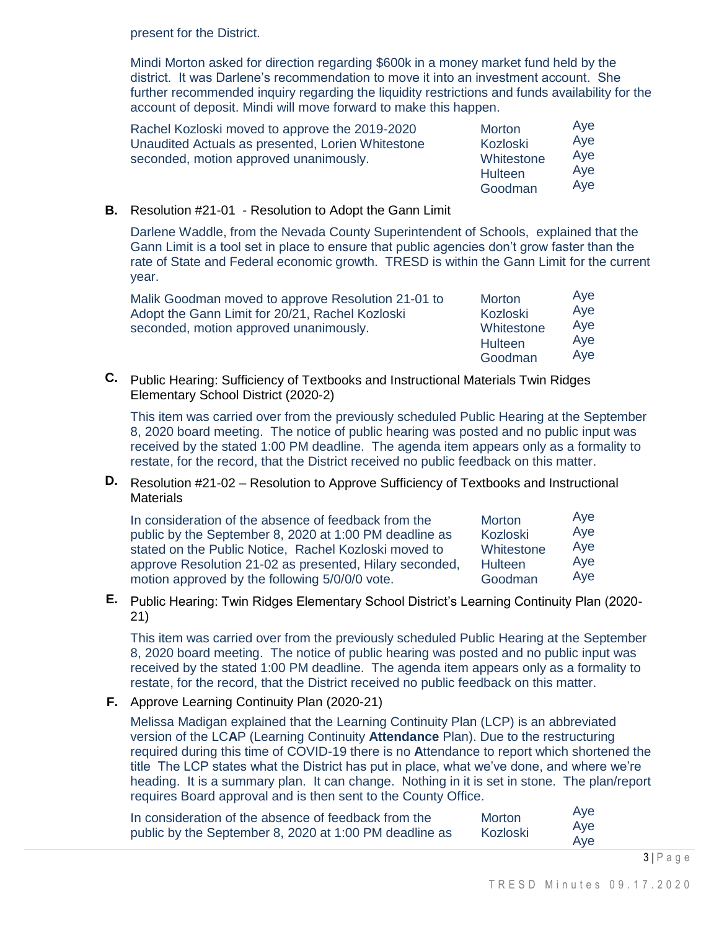present for the District.

Mindi Morton asked for direction regarding \$600k in a money market fund held by the district. It was Darlene's recommendation to move it into an investment account. She further recommended inquiry regarding the liquidity restrictions and funds availability for the account of deposit. Mindi will move forward to make this happen.

| Rachel Kozloski moved to approve the 2019-2020<br>Unaudited Actuals as presented, Lorien Whitestone<br>seconded, motion approved unanimously. | <b>Morton</b><br>Kozloski<br>Whitestone<br>Hulteen | Aye<br>Aye<br>Aye<br>Aye<br>Aye |
|-----------------------------------------------------------------------------------------------------------------------------------------------|----------------------------------------------------|---------------------------------|
|                                                                                                                                               | Goodman                                            |                                 |

**B.** Resolution #21-01 - Resolution to Adopt the Gann Limit

Darlene Waddle, from the Nevada County Superintendent of Schools, explained that the Gann Limit is a tool set in place to ensure that public agencies don't grow faster than the rate of State and Federal economic growth. TRESD is within the Gann Limit for the current year.

| Malik Goodman moved to approve Resolution 21-01 to<br>Adopt the Gann Limit for 20/21, Rachel Kozloski<br>Kozloski<br>Whitestone<br>seconded, motion approved unanimously.<br><b>Hulteen</b><br>Goodman | Aye<br>Aye<br>Aye<br>Aye |
|--------------------------------------------------------------------------------------------------------------------------------------------------------------------------------------------------------|--------------------------|
|--------------------------------------------------------------------------------------------------------------------------------------------------------------------------------------------------------|--------------------------|

**C.** Public Hearing: Sufficiency of Textbooks and Instructional Materials Twin Ridges Elementary School District (2020-2)

This item was carried over from the previously scheduled Public Hearing at the September 8, 2020 board meeting. The notice of public hearing was posted and no public input was received by the stated 1:00 PM deadline. The agenda item appears only as a formality to restate, for the record, that the District received no public feedback on this matter.

**D.** Resolution #21-02 – Resolution to Approve Sufficiency of Textbooks and Instructional **Materials** 

| In consideration of the absence of feedback from the    | <b>Morton</b> | Aye |
|---------------------------------------------------------|---------------|-----|
| public by the September 8, 2020 at 1:00 PM deadline as  | Kozloski      | Aye |
| stated on the Public Notice, Rachel Kozloski moved to   | Whitestone    | Aye |
| approve Resolution 21-02 as presented, Hilary seconded, | Hulteen       | Aye |
| motion approved by the following 5/0/0/0 vote.          | Goodman       | Aye |

**E.** Public Hearing: Twin Ridges Elementary School District's Learning Continuity Plan (2020- 21)

This item was carried over from the previously scheduled Public Hearing at the September 8, 2020 board meeting. The notice of public hearing was posted and no public input was received by the stated 1:00 PM deadline. The agenda item appears only as a formality to restate, for the record, that the District received no public feedback on this matter.

**F.** Approve Learning Continuity Plan (2020-21)

Melissa Madigan explained that the Learning Continuity Plan (LCP) is an abbreviated version of the LC**A**P (Learning Continuity **Attendance** Plan). Due to the restructuring required during this time of COVID-19 there is no **A**ttendance to report which shortened the title The LCP states what the District has put in place, what we've done, and where we're heading. It is a summary plan. It can change. Nothing in it is set in stone. The plan/report requires Board approval and is then sent to the County Office.

| In consideration of the absence of feedback from the   | <b>Morton</b> | Aye<br>Ave |
|--------------------------------------------------------|---------------|------------|
| public by the September 8, 2020 at 1:00 PM deadline as | Kozloski      | Aye        |

 $3|P$  a g e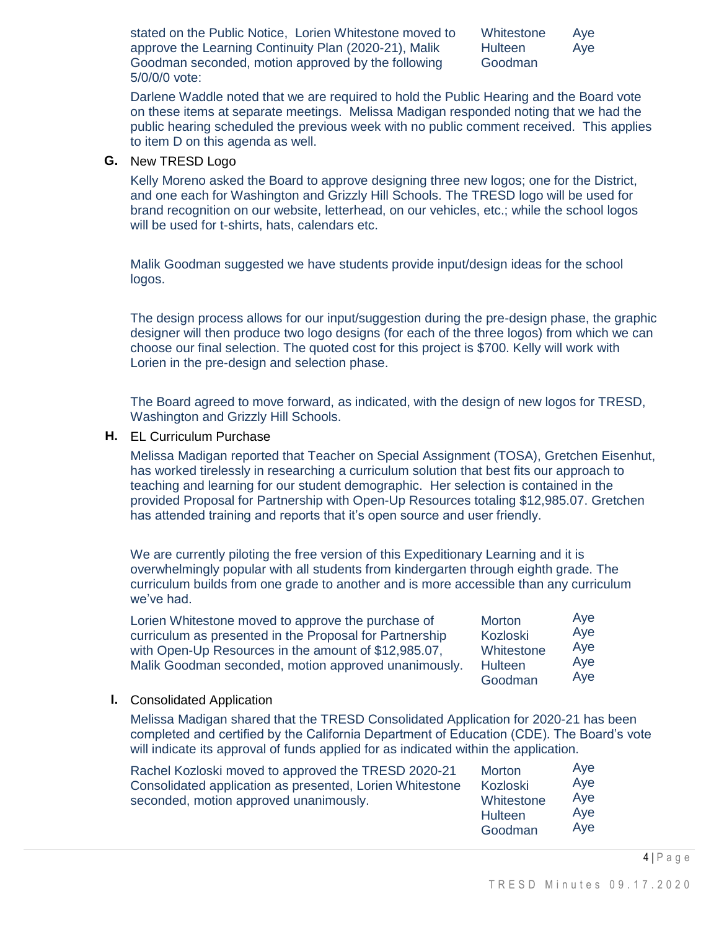| stated on the Public Notice, Lorien Whitestone moved to | Whiteston |
|---------------------------------------------------------|-----------|
| approve the Learning Continuity Plan (2020-21), Malik   | Hulteen   |
| Goodman seconded, motion approved by the following      | Goodman   |
| 5/0/0/0 vote:                                           |           |

ne Aye Aye

Darlene Waddle noted that we are required to hold the Public Hearing and the Board vote on these items at separate meetings. Melissa Madigan responded noting that we had the public hearing scheduled the previous week with no public comment received. This applies to item D on this agenda as well.

#### **G.** New TRESD Logo

Kelly Moreno asked the Board to approve designing three new logos; one for the District, and one each for Washington and Grizzly Hill Schools. The TRESD logo will be used for brand recognition on our website, letterhead, on our vehicles, etc.; while the school logos will be used for t-shirts, hats, calendars etc.

Malik Goodman suggested we have students provide input/design ideas for the school logos.

The design process allows for our input/suggestion during the pre-design phase, the graphic designer will then produce two logo designs (for each of the three logos) from which we can choose our final selection. The quoted cost for this project is \$700. Kelly will work with Lorien in the pre-design and selection phase.

The Board agreed to move forward, as indicated, with the design of new logos for TRESD, Washington and Grizzly Hill Schools.

**H.** EL Curriculum Purchase

Melissa Madigan reported that Teacher on Special Assignment (TOSA), Gretchen Eisenhut, has worked tirelessly in researching a curriculum solution that best fits our approach to teaching and learning for our student demographic. Her selection is contained in the provided Proposal for Partnership with Open-Up Resources totaling \$12,985.07. Gretchen has attended training and reports that it's open source and user friendly.

We are currently piloting the free version of this Expeditionary Learning and it is overwhelmingly popular with all students from kindergarten through eighth grade. The curriculum builds from one grade to another and is more accessible than any curriculum we've had.

| Lorien Whitestone moved to approve the purchase of      | <b>Morton</b>  | Aye |
|---------------------------------------------------------|----------------|-----|
| curriculum as presented in the Proposal for Partnership | Kozloski       | Aye |
| with Open-Up Resources in the amount of \$12,985.07,    | Whitestone     | Aye |
| Malik Goodman seconded, motion approved unanimously.    | <b>Hulteen</b> | Aye |
|                                                         | Goodman        | Aye |

#### **I.** Consolidated Application

Melissa Madigan shared that the TRESD Consolidated Application for 2020-21 has been completed and certified by the California Department of Education (CDE). The Board's vote will indicate its approval of funds applied for as indicated within the application.

| Rachel Kozloski moved to approved the TRESD 2020-21<br>Consolidated application as presented, Lorien Whitestone<br>seconded, motion approved unanimously. | Morton<br>Kozloski<br>Whitestone<br>Hulteen<br>Goodman | Aye<br>Aye<br>Aye<br>Aye<br>Ave |
|-----------------------------------------------------------------------------------------------------------------------------------------------------------|--------------------------------------------------------|---------------------------------|
|-----------------------------------------------------------------------------------------------------------------------------------------------------------|--------------------------------------------------------|---------------------------------|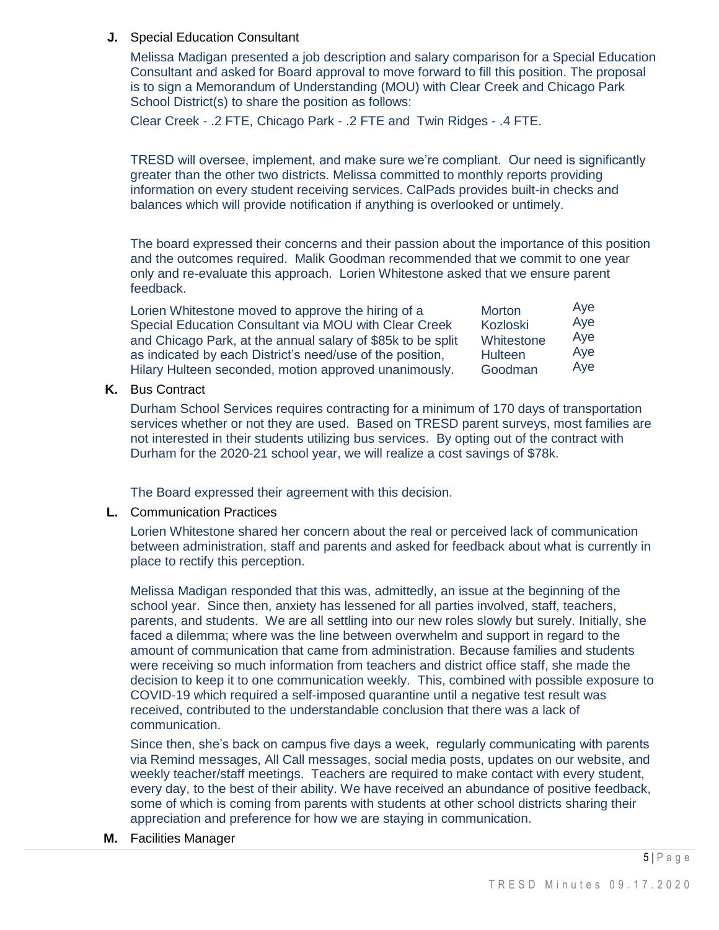**J.** Special Education Consultant

Melissa Madigan presented a job description and salary comparison for a Special Education Consultant and asked for Board approval to move forward to fill this position. The proposal is to sign a Memorandum of Understanding (MOU) with Clear Creek and Chicago Park School District(s) to share the position as follows:

Clear Creek - .2 FTE, Chicago Park - .2 FTE and Twin Ridges - .4 FTE.

TRESD will oversee, implement, and make sure we're compliant. Our need is significantly greater than the other two districts. Melissa committed to monthly reports providing information on every student receiving services. CalPads provides built-in checks and balances which will provide notification if anything is overlooked or untimely.

The board expressed their concerns and their passion about the importance of this position and the outcomes required. Malik Goodman recommended that we commit to one year only and re-evaluate this approach. Lorien Whitestone asked that we ensure parent feedback.

| Lorien Whitestone moved to approve the hiring of a          | Morton     | Aye |
|-------------------------------------------------------------|------------|-----|
| Special Education Consultant via MOU with Clear Creek       | Kozloski   | Aye |
| and Chicago Park, at the annual salary of \$85k to be split | Whitestone | Aye |
| as indicated by each District's need/use of the position,   | Hulteen    | Aye |
| Hilary Hulteen seconded, motion approved unanimously.       | Goodman    | Aye |

**K.** Bus Contract

Durham School Services requires contracting for a minimum of 170 days of transportation services whether or not they are used. Based on TRESD parent surveys, most families are not interested in their students utilizing bus services. By opting out of the contract with Durham for the 2020-21 school year, we will realize a cost savings of \$78k.

The Board expressed their agreement with this decision.

**L.** Communication Practices

Lorien Whitestone shared her concern about the real or perceived lack of communication between administration, staff and parents and asked for feedback about what is currently in place to rectify this perception.

Melissa Madigan responded that this was, admittedly, an issue at the beginning of the school year. Since then, anxiety has lessened for all parties involved, staff, teachers, parents, and students. We are all settling into our new roles slowly but surely. Initially, she faced a dilemma; where was the line between overwhelm and support in regard to the amount of communication that came from administration. Because families and students were receiving so much information from teachers and district office staff, she made the decision to keep it to one communication weekly. This, combined with possible exposure to COVID-19 which required a self-imposed quarantine until a negative test result was received, contributed to the understandable conclusion that there was a lack of communication.

Since then, she's back on campus five days a week, regularly communicating with parents via Remind messages, All Call messages, social media posts, updates on our website, and weekly teacher/staff meetings. Teachers are required to make contact with every student, every day, to the best of their ability. We have received an abundance of positive feedback, some of which is coming from parents with students at other school districts sharing their appreciation and preference for how we are staying in communication.

**M.** Facilities Manager

 $5$  | P a q e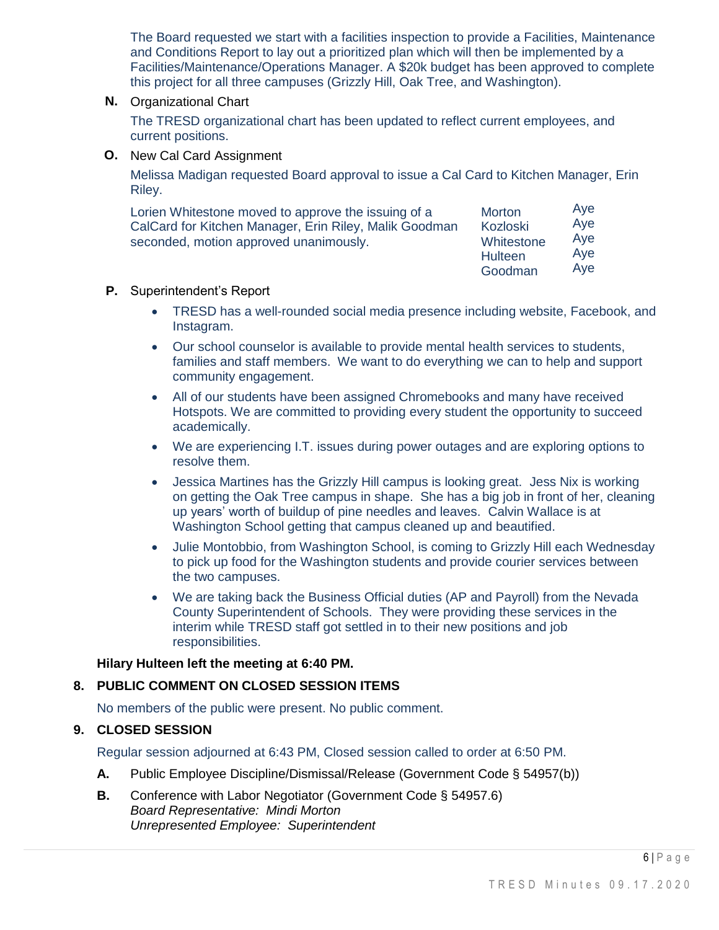The Board requested we start with a facilities inspection to provide a Facilities, Maintenance and Conditions Report to lay out a prioritized plan which will then be implemented by a Facilities/Maintenance/Operations Manager. A \$20k budget has been approved to complete this project for all three campuses (Grizzly Hill, Oak Tree, and Washington).

#### **N.** Organizational Chart

The TRESD organizational chart has been updated to reflect current employees, and current positions.

**O.** New Cal Card Assignment

Melissa Madigan requested Board approval to issue a Cal Card to Kitchen Manager, Erin Riley.

| Lorien Whitestone moved to approve the issuing of a    | Morton                       | Aye        |
|--------------------------------------------------------|------------------------------|------------|
| CalCard for Kitchen Manager, Erin Riley, Malik Goodman | Kozloski                     | Aye        |
| seconded, motion approved unanimously.                 | Whitestone<br><b>Hulteen</b> | Aye<br>Ave |

Goodman Aye

#### **P.** Superintendent's Report

- TRESD has a well-rounded social media presence including website, Facebook, and Instagram.
- Our school counselor is available to provide mental health services to students, families and staff members. We want to do everything we can to help and support community engagement.
- All of our students have been assigned Chromebooks and many have received Hotspots. We are committed to providing every student the opportunity to succeed academically.
- We are experiencing I.T. issues during power outages and are exploring options to resolve them.
- Jessica Martines has the Grizzly Hill campus is looking great. Jess Nix is working on getting the Oak Tree campus in shape. She has a big job in front of her, cleaning up years' worth of buildup of pine needles and leaves. Calvin Wallace is at Washington School getting that campus cleaned up and beautified.
- Julie Montobbio, from Washington School, is coming to Grizzly Hill each Wednesday to pick up food for the Washington students and provide courier services between the two campuses.
- We are taking back the Business Official duties (AP and Payroll) from the Nevada County Superintendent of Schools. They were providing these services in the interim while TRESD staff got settled in to their new positions and job responsibilities.

# **Hilary Hulteen left the meeting at 6:40 PM.**

# **8. PUBLIC COMMENT ON CLOSED SESSION ITEMS**

No members of the public were present. No public comment.

# **9. CLOSED SESSION**

Regular session adjourned at 6:43 PM, Closed session called to order at 6:50 PM.

- **A.** Public Employee Discipline/Dismissal/Release (Government Code § 54957(b))
- **B.** Conference with Labor Negotiator (Government Code § 54957.6) *Board Representative: Mindi Morton Unrepresented Employee: Superintendent*